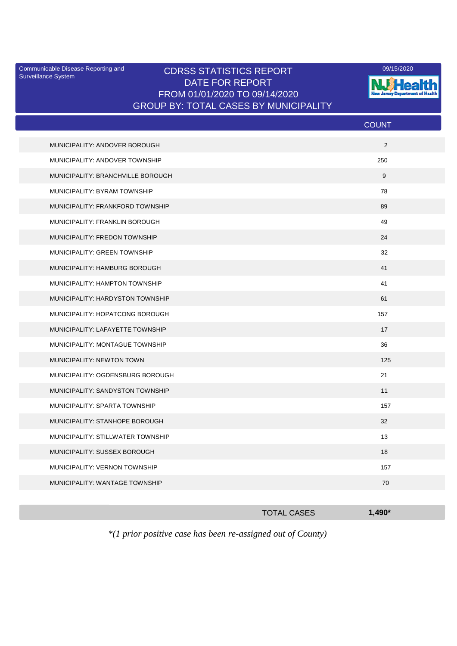Surveillance System

## Communicable Disease Reporting and CDRSS STATISTICS REPORT 09/15/2020<br>Surveillance System DATE FOR REPORT FROM 01/01/2020 TO 09/14/2020 GROUP BY: TOTAL CASES BY MUNICIPALITY



|                                   | <b>COUNT</b> |
|-----------------------------------|--------------|
| MUNICIPALITY: ANDOVER BOROUGH     | 2            |
| MUNICIPALITY: ANDOVER TOWNSHIP    | 250          |
| MUNICIPALITY: BRANCHVILLE BOROUGH | 9            |
| MUNICIPALITY: BYRAM TOWNSHIP      | 78           |
| MUNICIPALITY: FRANKFORD TOWNSHIP  | 89           |
| MUNICIPALITY: FRANKLIN BOROUGH    | 49           |
| MUNICIPALITY: FREDON TOWNSHIP     | 24           |
| MUNICIPALITY: GREEN TOWNSHIP      | 32           |
| MUNICIPALITY: HAMBURG BOROUGH     | 41           |
| MUNICIPALITY: HAMPTON TOWNSHIP    | 41           |
| MUNICIPALITY: HARDYSTON TOWNSHIP  | 61           |
| MUNICIPALITY: HOPATCONG BOROUGH   | 157          |
| MUNICIPALITY: LAFAYETTE TOWNSHIP  | 17           |
| MUNICIPALITY: MONTAGUE TOWNSHIP   | 36           |
| MUNICIPALITY: NEWTON TOWN         | 125          |
| MUNICIPALITY: OGDENSBURG BOROUGH  | 21           |
| MUNICIPALITY: SANDYSTON TOWNSHIP  | 11           |
| MUNICIPALITY: SPARTA TOWNSHIP     | 157          |
| MUNICIPALITY: STANHOPE BOROUGH    | 32           |
| MUNICIPALITY: STILLWATER TOWNSHIP | 13           |
| MUNICIPALITY: SUSSEX BOROUGH      | 18           |
| MUNICIPALITY: VERNON TOWNSHIP     | 157          |
| MUNICIPALITY: WANTAGE TOWNSHIP    | 70           |
|                                   |              |

|                                                                       | <b>TOTAL CASES</b> | $1.490*$ |
|-----------------------------------------------------------------------|--------------------|----------|
| $*(1 \text{ prior positive case has been re-assigned out of County})$ |                    |          |